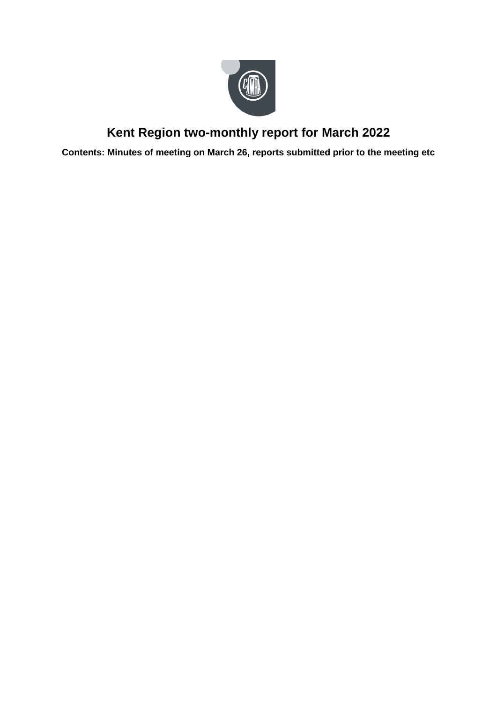

# **Kent Region two-monthly report for March 2022**

**Contents: Minutes of meeting on March 26, reports submitted prior to the meeting etc**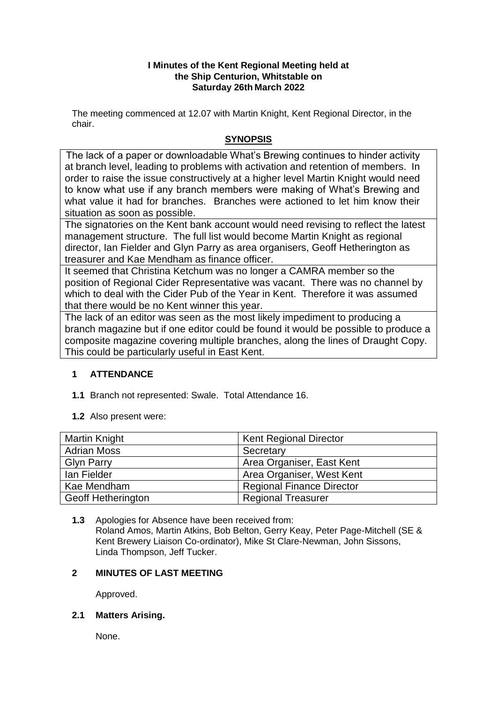## **I Minutes of the Kent Regional Meeting held at the Ship Centurion, Whitstable on Saturday 26th March 2022**

The meeting commenced at 12.07 with Martin Knight, Kent Regional Director, in the chair.

# **SYNOPSIS**

The lack of a paper or downloadable What's Brewing continues to hinder activity at branch level, leading to problems with activation and retention of members. In order to raise the issue constructively at a higher level Martin Knight would need to know what use if any branch members were making of What's Brewing and what value it had for branches. Branches were actioned to let him know their situation as soon as possible.

The signatories on the Kent bank account would need revising to reflect the latest management structure. The full list would become Martin Knight as regional director, Ian Fielder and Glyn Parry as area organisers, Geoff Hetherington as treasurer and Kae Mendham as finance officer.

It seemed that Christina Ketchum was no longer a CAMRA member so the position of Regional Cider Representative was vacant. There was no channel by which to deal with the Cider Pub of the Year in Kent. Therefore it was assumed that there would be no Kent winner this year.

The lack of an editor was seen as the most likely impediment to producing a branch magazine but if one editor could be found it would be possible to produce a composite magazine covering multiple branches, along the lines of Draught Copy. This could be particularly useful in East Kent.

# **1 ATTENDANCE**

- **1.1** Branch not represented: Swale. Total Attendance 16.
- **1.2** Also present were:

| Martin Knight             | <b>Kent Regional Director</b>    |
|---------------------------|----------------------------------|
| <b>Adrian Moss</b>        | Secretary                        |
| <b>Glyn Parry</b>         | Area Organiser, East Kent        |
| lan Fielder               | Area Organiser, West Kent        |
| Kae Mendham               | <b>Regional Finance Director</b> |
| <b>Geoff Hetherington</b> | <b>Regional Treasurer</b>        |

**1.3** Apologies for Absence have been received from: Roland Amos, Martin Atkins, Bob Belton, Gerry Keay, Peter Page-Mitchell (SE & Kent Brewery Liaison Co-ordinator), Mike St Clare-Newman, John Sissons, Linda Thompson, Jeff Tucker.

# **2 MINUTES OF LAST MEETING**

Approved.

# **2.1 Matters Arising.**

None.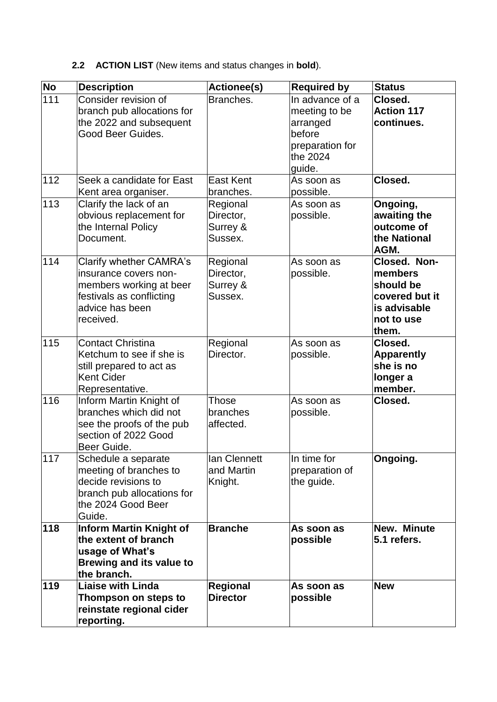# **2.2 ACTION LIST** (New items and status changes in **bold**).

| No  | <b>Description</b>              | Actionee(s)      | <b>Required by</b> | <b>Status</b>     |
|-----|---------------------------------|------------------|--------------------|-------------------|
| 111 | Consider revision of            | Branches.        | In advance of a    | Closed.           |
|     | branch pub allocations for      |                  | meeting to be      | <b>Action 117</b> |
|     | the 2022 and subsequent         |                  | arranged           | continues.        |
|     | Good Beer Guides.               |                  | before             |                   |
|     |                                 |                  | preparation for    |                   |
|     |                                 |                  | the 2024           |                   |
|     |                                 |                  | guide.             |                   |
| 112 | Seek a candidate for East       | <b>East Kent</b> | As soon as         | Closed.           |
|     | Kent area organiser.            | branches.        | possible.          |                   |
| 113 | Clarify the lack of an          | Regional         | As soon as         | Ongoing,          |
|     | obvious replacement for         | Director,        | possible.          | awaiting the      |
|     | the Internal Policy             | Surrey &         |                    | outcome of        |
|     | Document.                       | Sussex.          |                    | the National      |
|     |                                 |                  |                    | AGM.              |
| 114 | <b>Clarify whether CAMRA's</b>  | Regional         | As soon as         | Closed. Non-      |
|     | insurance covers non-           | Director,        | possible.          | members           |
|     | members working at beer         | Surrey &         |                    | should be         |
|     | festivals as conflicting        | Sussex.          |                    | covered but it    |
|     | advice has been                 |                  |                    | is advisable      |
|     | received.                       |                  |                    | not to use        |
|     |                                 |                  |                    | them.             |
| 115 | <b>Contact Christina</b>        | Regional         | As soon as         | Closed.           |
|     | Ketchum to see if she is        | Director.        | possible.          | <b>Apparently</b> |
|     | still prepared to act as        |                  |                    | she is no         |
|     | <b>Kent Cider</b>               |                  |                    | longer a          |
|     | Representative.                 |                  |                    | member.           |
| 116 | Inform Martin Knight of         | Those            | As soon as         | Closed.           |
|     | branches which did not          | branches         | possible.          |                   |
|     | see the proofs of the pub       | affected.        |                    |                   |
|     | section of 2022 Good            |                  |                    |                   |
|     | Beer Guide.                     |                  |                    |                   |
| 117 | Schedule a separate             | lan Clennett     | In time for        | Ongoing.          |
|     | meeting of branches to          | and Martin       | preparation of     |                   |
|     | decide revisions to             | Knight.          | the guide.         |                   |
|     | branch pub allocations for      |                  |                    |                   |
|     | the 2024 Good Beer              |                  |                    |                   |
|     | Guide.                          |                  |                    |                   |
| 118 | <b>Inform Martin Knight of</b>  | <b>Branche</b>   | As soon as         | New. Minute       |
|     | the extent of branch            |                  | possible           | 5.1 refers.       |
|     | usage of What's                 |                  |                    |                   |
|     | <b>Brewing and its value to</b> |                  |                    |                   |
|     | the branch.                     |                  |                    |                   |
| 119 | <b>Liaise with Linda</b>        | <b>Regional</b>  | As soon as         | <b>New</b>        |
|     | Thompson on steps to            | <b>Director</b>  | possible           |                   |
|     | reinstate regional cider        |                  |                    |                   |
|     | reporting.                      |                  |                    |                   |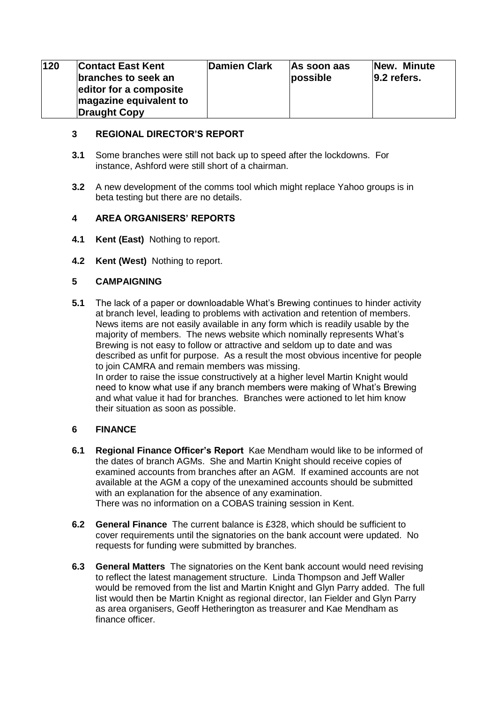| 120 | <b>Contact East Kent</b><br>branches to seek an<br>editor for a composite<br>magazine equivalent to<br><b>Draught Copy</b> | Damien Clark | As soon aas<br>possible | New. Minute<br>$ 9.2$ refers. |
|-----|----------------------------------------------------------------------------------------------------------------------------|--------------|-------------------------|-------------------------------|
|-----|----------------------------------------------------------------------------------------------------------------------------|--------------|-------------------------|-------------------------------|

## **3 REGIONAL DIRECTOR'S REPORT**

- **3.1** Some branches were still not back up to speed after the lockdowns. For instance, Ashford were still short of a chairman.
- **3.2** A new development of the comms tool which might replace Yahoo groups is in beta testing but there are no details.

# **4 AREA ORGANISERS' REPORTS**

- **4.1 Kent (East)** Nothing to report.
- **4.2 Kent (West)** Nothing to report.

## **5 CAMPAIGNING**

**5.1** The lack of a paper or downloadable What's Brewing continues to hinder activity at branch level, leading to problems with activation and retention of members. News items are not easily available in any form which is readily usable by the majority of members. The news website which nominally represents What's Brewing is not easy to follow or attractive and seldom up to date and was described as unfit for purpose. As a result the most obvious incentive for people to join CAMRA and remain members was missing. In order to raise the issue constructively at a higher level Martin Knight would need to know what use if any branch members were making of What's Brewing and what value it had for branches. Branches were actioned to let him know their situation as soon as possible.

## **6 FINANCE**

- **6.1 Regional Finance Officer's Report** Kae Mendham would like to be informed of the dates of branch AGMs. She and Martin Knight should receive copies of examined accounts from branches after an AGM. If examined accounts are not available at the AGM a copy of the unexamined accounts should be submitted with an explanation for the absence of any examination. There was no information on a COBAS training session in Kent.
- **6.2 General Finance** The current balance is £328, which should be sufficient to cover requirements until the signatories on the bank account were updated. No requests for funding were submitted by branches.
- **6.3 General Matters** The signatories on the Kent bank account would need revising to reflect the latest management structure. Linda Thompson and Jeff Waller would be removed from the list and Martin Knight and Glyn Parry added. The full list would then be Martin Knight as regional director, Ian Fielder and Glyn Parry as area organisers, Geoff Hetherington as treasurer and Kae Mendham as finance officer.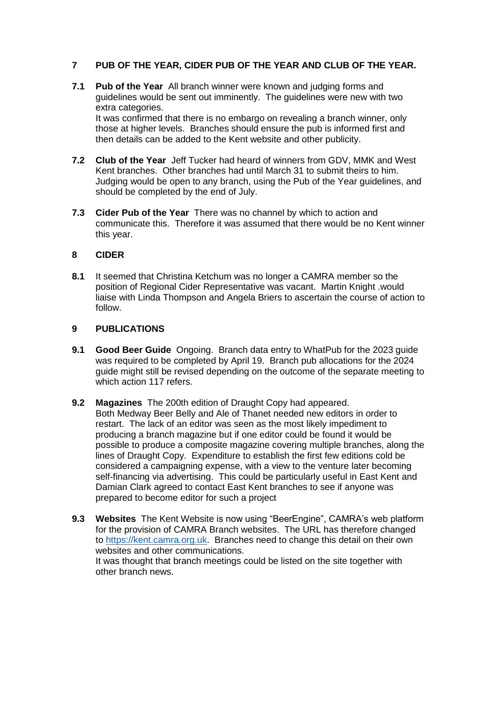## **7 PUB OF THE YEAR, CIDER PUB OF THE YEAR AND CLUB OF THE YEAR.**

- **7.1 Pub of the Year** All branch winner were known and judging forms and guidelines would be sent out imminently. The guidelines were new with two extra categories. It was confirmed that there is no embargo on revealing a branch winner, only those at higher levels. Branches should ensure the pub is informed first and then details can be added to the Kent website and other publicity.
- **7.2 Club of the Year** Jeff Tucker had heard of winners from GDV, MMK and West Kent branches. Other branches had until March 31 to submit theirs to him. Judging would be open to any branch, using the Pub of the Year guidelines, and should be completed by the end of July.
- **7.3 Cider Pub of the Year** There was no channel by which to action and communicate this. Therefore it was assumed that there would be no Kent winner this year.

#### **8 CIDER**

**8.1** It seemed that Christina Ketchum was no longer a CAMRA member so the position of Regional Cider Representative was vacant. Martin Knight .would liaise with Linda Thompson and Angela Briers to ascertain the course of action to follow.

#### **9 PUBLICATIONS**

- **9.1 Good Beer Guide** Ongoing. Branch data entry to WhatPub for the 2023 guide was required to be completed by April 19. Branch pub allocations for the 2024 guide might still be revised depending on the outcome of the separate meeting to which action 117 refers.
- **9.2 Magazines** The 200th edition of Draught Copy had appeared. Both Medway Beer Belly and Ale of Thanet needed new editors in order to restart. The lack of an editor was seen as the most likely impediment to producing a branch magazine but if one editor could be found it would be possible to produce a composite magazine covering multiple branches, along the lines of Draught Copy. Expenditure to establish the first few editions cold be considered a campaigning expense, with a view to the venture later becoming self-financing via advertising. This could be particularly useful in East Kent and Damian Clark agreed to contact East Kent branches to see if anyone was prepared to become editor for such a project
- **9.3 Websites** The Kent Website is now using "BeerEngine", CAMRA's web platform for the provision of CAMRA Branch websites. The URL has therefore changed to [https://kent.camra.org.uk.](https://kent.camra.org.uk/) Branches need to change this detail on their own websites and other communications. It was thought that branch meetings could be listed on the site together with other branch news.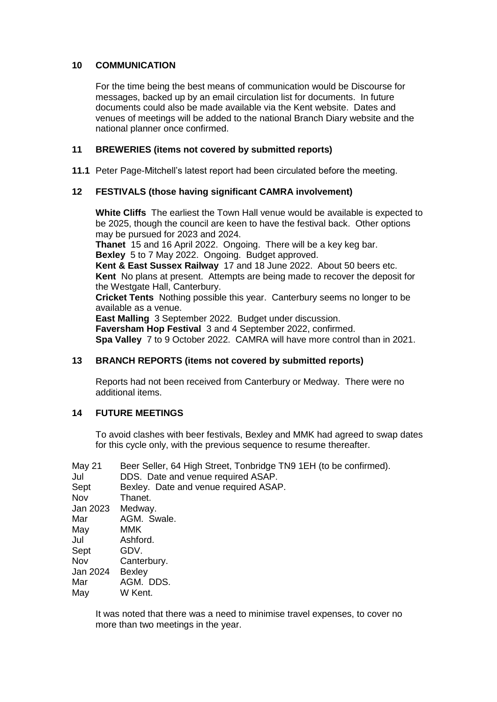## **10 COMMUNICATION**

For the time being the best means of communication would be Discourse for messages, backed up by an email circulation list for documents. In future documents could also be made available via the Kent website. Dates and venues of meetings will be added to the national Branch Diary website and the national planner once confirmed.

## **11 BREWERIES (items not covered by submitted reports)**

**11.1** Peter Page-Mitchell's latest report had been circulated before the meeting.

## **12 FESTIVALS (those having significant CAMRA involvement)**

**White Cliffs** The earliest the Town Hall venue would be available is expected to be 2025, though the council are keen to have the festival back. Other options may be pursued for 2023 and 2024.

**Thanet** 15 and 16 April 2022. Ongoing. There will be a key keg bar. **Bexley** 5 to 7 May 2022. Ongoing. Budget approved.

**Kent & East Sussex Railway** 17 and 18 June 2022. About 50 beers etc. **Kent** No plans at present. Attempts are being made to recover the deposit for the Westgate Hall, Canterbury.

**Cricket Tents** Nothing possible this year. Canterbury seems no longer to be available as a venue.

**East Malling** 3 September 2022. Budget under discussion. **Faversham Hop Festival** 3 and 4 September 2022, confirmed. **Spa Valley** 7 to 9 October 2022. CAMRA will have more control than in 2021.

# **13 BRANCH REPORTS (items not covered by submitted reports)**

Reports had not been received from Canterbury or Medway. There were no additional items.

## **14 FUTURE MEETINGS**

To avoid clashes with beer festivals, Bexley and MMK had agreed to swap dates for this cycle only, with the previous sequence to resume thereafter.

| May 21   | Beer Seller, 64 High Street, Tonbridge TN9 1EH (to be confirmed). |
|----------|-------------------------------------------------------------------|
| Jul      | DDS. Date and venue required ASAP.                                |
| Sept     | Bexley. Date and venue required ASAP.                             |
| Nov      | Thanet.                                                           |
| Jan 2023 | Medway.                                                           |
| Mar      | AGM. Swale.                                                       |
| May      | <b>MMK</b>                                                        |
| Jul      | Ashford.                                                          |
| Sept     | GDV.                                                              |
| Nov      | Canterbury.                                                       |
| Jan 2024 | <b>Bexley</b>                                                     |
| Mar      | AGM. DDS.                                                         |
| May      | W Kent.                                                           |

It was noted that there was a need to minimise travel expenses, to cover no more than two meetings in the year.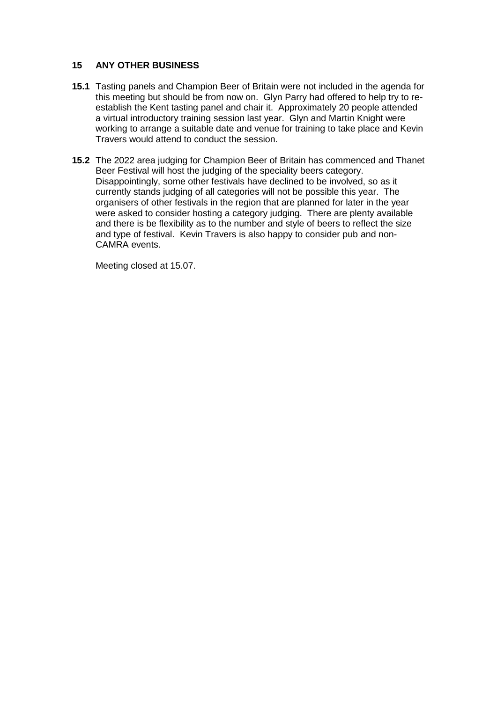## **15 ANY OTHER BUSINESS**

- **15.1** Tasting panels and Champion Beer of Britain were not included in the agenda for this meeting but should be from now on. Glyn Parry had offered to help try to reestablish the Kent tasting panel and chair it. Approximately 20 people attended a virtual introductory training session last year. Glyn and Martin Knight were working to arrange a suitable date and venue for training to take place and Kevin Travers would attend to conduct the session.
- **15.2** The 2022 area judging for Champion Beer of Britain has commenced and Thanet Beer Festival will host the judging of the speciality beers category. Disappointingly, some other festivals have declined to be involved, so as it currently stands judging of all categories will not be possible this year. The organisers of other festivals in the region that are planned for later in the year were asked to consider hosting a category judging. There are plenty available and there is be flexibility as to the number and style of beers to reflect the size and type of festival. Kevin Travers is also happy to consider pub and non-CAMRA events.

Meeting closed at 15.07.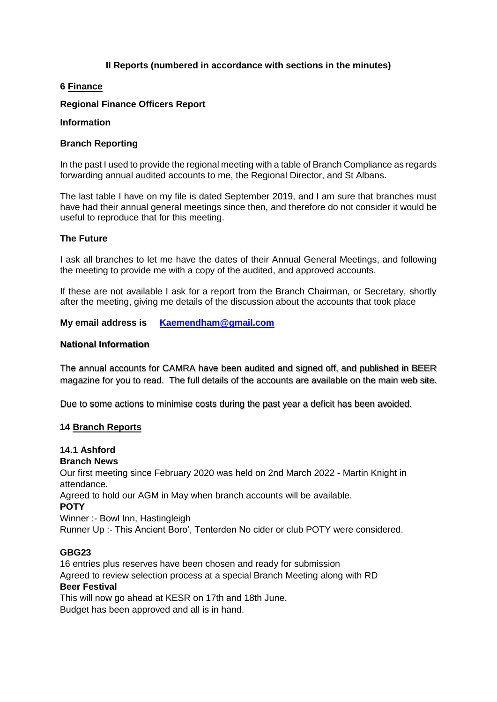## **II Reports (numbered in accordance with sections in the minutes)**

## **6 Finance**

## **Regional Finance Officers Report**

#### **Information**

#### **Branch Reporting**

In the past I used to provide the regional meeting with a table of Branch Compliance as regards forwarding annual audited accounts to me, the Regional Director, and St Albans.

The last table I have on my file is dated September 2019, and I am sure that branches must have had their annual general meetings since then, and therefore do not consider it would be useful to reproduce that for this meeting.

#### **The Future**

I ask all branches to let me have the dates of their Annual General Meetings, and following the meeting to provide me with a copy of the audited, and approved accounts.

If these are not available I ask for a report from the Branch Chairman, or Secretary, shortly after the meeting, giving me details of the discussion about the accounts that took place

**My email address is [Kaemendham@gmail.com](mailto:Kaemendham@gmail.com)**

#### **National Information**

The annual accounts for CAMRA have been audited and signed off, and published in BEER magazine for you to read. The full details of the accounts are available on the main web site.

Due to some actions to minimise costs during the past year a deficit has been avoided.

#### **14 Branch Reports**

# **14.1 Ashford**

## **Branch News**

Our first meeting since February 2020 was held on 2nd March 2022 - Martin Knight in attendance.

Agreed to hold our AGM in May when branch accounts will be available.

**POTY** 

Winner :- Bowl Inn, Hastingleigh

Runner Up :- This Ancient Boro', Tenterden No cider or club POTY were considered.

#### **GBG23**

16 entries plus reserves have been chosen and ready for submission Agreed to review selection process at a special Branch Meeting along with RD **Beer Festival**  This will now go ahead at KESR on 17th and 18th June.

Budget has been approved and all is in hand.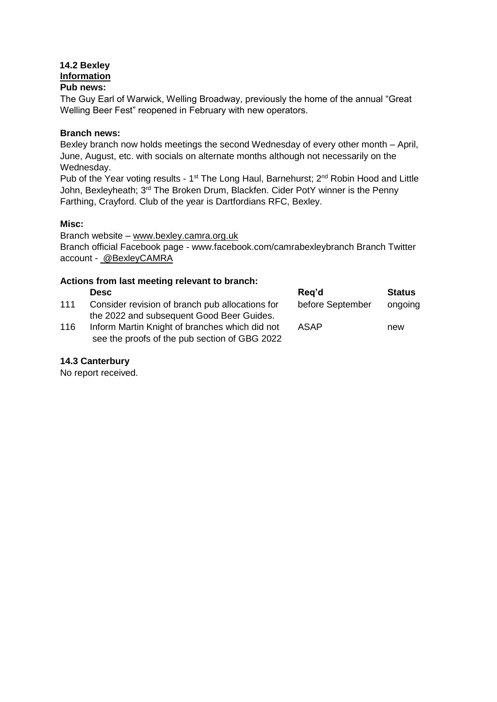## **14.2 Bexley Information Pub news:**

The Guy Earl of Warwick, Welling Broadway, previously the home of the annual "Great Welling Beer Fest" reopened in February with new operators.

## **Branch news:**

Bexley branch now holds meetings the second Wednesday of every other month – April, June, August, etc. with socials on alternate months although not necessarily on the Wednesday.

Pub of the Year voting results - 1<sup>st</sup> The Long Haul, Barnehurst; 2<sup>nd</sup> Robin Hood and Little John, Bexleyheath; 3<sup>rd</sup> The Broken Drum, Blackfen. Cider PotY winner is the Penny Farthing, Crayford. Club of the year is Dartfordians RFC, Bexley.

## **Misc:**

Branch website – www.bexley.camra.org.uk Branch official Facebook page - www.facebook.com/camrabexleybranch Branch Twitter account - @BexleyCAMRA

## **Actions from last meeting relevant to branch:**

|     | <b>Desc</b>                                     | Reg'd            | <b>Status</b> |
|-----|-------------------------------------------------|------------------|---------------|
| 111 | Consider revision of branch pub allocations for | before September | ongoing       |
|     | the 2022 and subsequent Good Beer Guides.       |                  |               |
| 116 | Inform Martin Knight of branches which did not  | ASAP             | new           |
|     | see the proofs of the pub section of GBG 2022   |                  |               |

## **14.3 Canterbury**

No report received.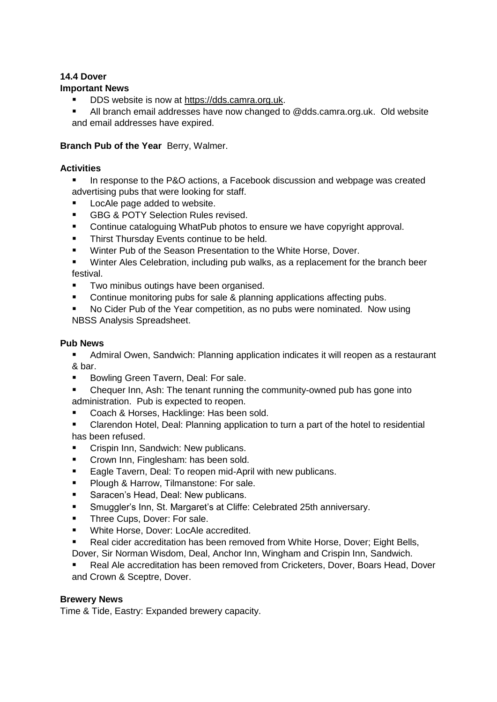# **14.4 Dover**

## **Important News**

- DDS website is now at https://dds.camra.org.uk.
- All branch email addresses have now changed to @dds.camra.org.uk. Old website and email addresses have expired.

# **Branch Pub of the Year** Berry, Walmer.

## **Activities**

- In response to the P&O actions, a Facebook discussion and webpage was created advertising pubs that were looking for staff.
- LocAle page added to website.
- **GBG & POTY Selection Rules revised.**
- Continue cataloguing WhatPub photos to ensure we have copyright approval.
- **Thirst Thursday Events continue to be held.**
- Winter Pub of the Season Presentation to the White Horse, Dover.
- Winter Ales Celebration, including pub walks, as a replacement for the branch beer festival.
- Two minibus outings have been organised.
- Continue monitoring pubs for sale & planning applications affecting pubs.
- No Cider Pub of the Year competition, as no pubs were nominated. Now using NBSS Analysis Spreadsheet.

# **Pub News**

 Admiral Owen, Sandwich: Planning application indicates it will reopen as a restaurant & bar.

- Bowling Green Tavern, Deal: For sale.
- Chequer Inn, Ash: The tenant running the community-owned pub has gone into administration. Pub is expected to reopen.
- Coach & Horses, Hacklinge: Has been sold.
- Clarendon Hotel, Deal: Planning application to turn a part of the hotel to residential has been refused.
- **Crispin Inn, Sandwich: New publicans.**
- **Crown Inn, Finglesham: has been sold.**
- **Eagle Tavern, Deal: To reopen mid-April with new publicans.**
- **Plough & Harrow, Tilmanstone: For sale.**
- Saracen's Head, Deal: New publicans.
- Smuggler's Inn, St. Margaret's at Cliffe: Celebrated 25th anniversary.
- **Three Cups, Dover: For sale.**
- **White Horse, Dover: LocAle accredited.**
- Real cider accreditation has been removed from White Horse, Dover; Eight Bells, Dover, Sir Norman Wisdom, Deal, Anchor Inn, Wingham and Crispin Inn, Sandwich.
- Real Ale accreditation has been removed from Cricketers, Dover, Boars Head, Dover and Crown & Sceptre, Dover.

## **Brewery News**

Time & Tide, Eastry: Expanded brewery capacity.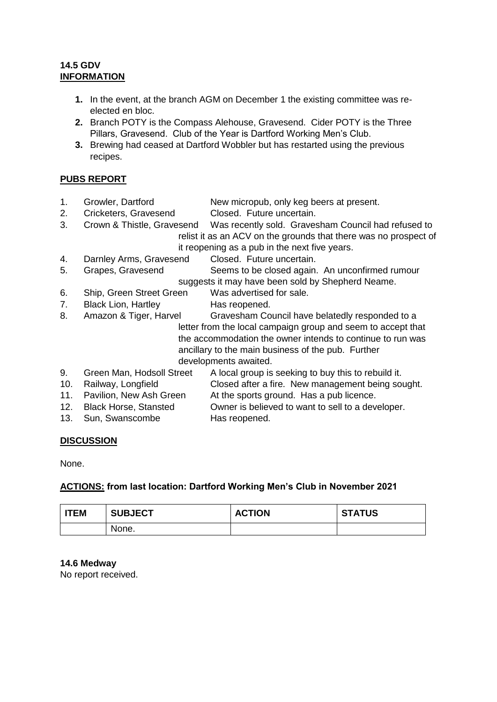# **14.5 GDV INFORMATION**

- **1.** In the event, at the branch AGM on December 1 the existing committee was reelected en bloc.
- **2.** Branch POTY is the Compass Alehouse, Gravesend. Cider POTY is the Three Pillars, Gravesend. Club of the Year is Dartford Working Men's Club.
- **3.** Brewing had ceased at Dartford Wobbler but has restarted using the previous recipes.

# **PUBS REPORT**

- 1. Growler, Dartford New micropub, only keg beers at present.
- 2. Cricketers, Gravesend Closed. Future uncertain.
- 3. Crown & Thistle, Gravesend Was recently sold. Gravesham Council had refused to relist it as an ACV on the grounds that there was no prospect of it reopening as a pub in the next five years.
- 4. Darnley Arms, Gravesend Closed. Future uncertain.
- 5. Grapes, Gravesend Seems to be closed again. An unconfirmed rumour suggests it may have been sold by Shepherd Neame.
- 6. Ship, Green Street Green Was advertised for sale.
- 7. Black Lion, Hartley Has reopened.
- 8. Amazon & Tiger, Harvel Gravesham Council have belatedly responded to a letter from the local campaign group and seem to accept that the accommodation the owner intends to continue to run was ancillary to the main business of the pub. Further developments awaited.
- 9. Green Man, Hodsoll Street A local group is seeking to buy this to rebuild it.
- 10. Railway, Longfield Closed after a fire. New management being sought.
- 11. Pavilion, New Ash Green At the sports ground. Has a pub licence.
- 12. Black Horse, Stansted Owner is believed to want to sell to a developer. 13. Sun, Swanscombe Has reopened.

# **DISCUSSION**

None.

# **ACTIONS: from last location: Dartford Working Men's Club in November 2021**

| <b>ITEM</b> | <b>SUBJECT</b> | <b>ACTION</b> | <b>STATUS</b> |
|-------------|----------------|---------------|---------------|
|             | None.          |               |               |

## **14.6 Medway**

No report received.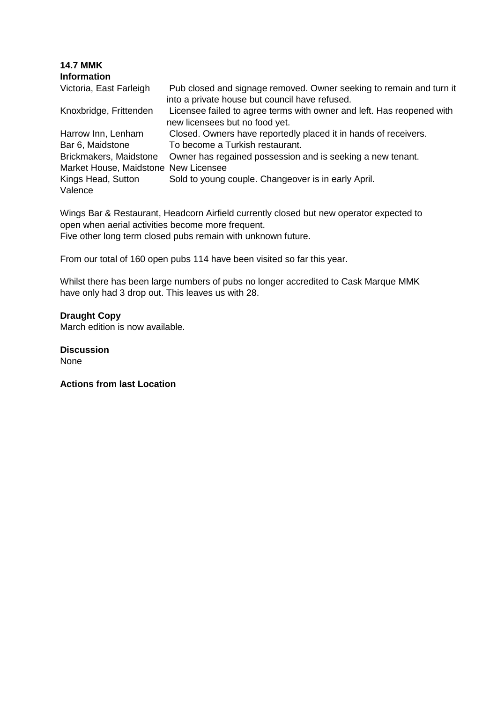| <b>14.7 MMK</b><br><b>Information</b> |                                                                                                                       |
|---------------------------------------|-----------------------------------------------------------------------------------------------------------------------|
| Victoria, East Farleigh               | Pub closed and signage removed. Owner seeking to remain and turn it<br>into a private house but council have refused. |
| Knoxbridge, Frittenden                | Licensee failed to agree terms with owner and left. Has reopened with<br>new licensees but no food yet.               |
| Harrow Inn, Lenham                    | Closed. Owners have reportedly placed it in hands of receivers.                                                       |
| Bar 6, Maidstone                      | To become a Turkish restaurant.                                                                                       |
| Brickmakers, Maidstone                | Owner has regained possession and is seeking a new tenant.                                                            |
| Market House, Maidstone               | New Licensee                                                                                                          |
| Kings Head, Sutton<br>Valence         | Sold to young couple. Changeover is in early April.                                                                   |

Wings Bar & Restaurant, Headcorn Airfield currently closed but new operator expected to open when aerial activities become more frequent. Five other long term closed pubs remain with unknown future.

From our total of 160 open pubs 114 have been visited so far this year.

Whilst there has been large numbers of pubs no longer accredited to Cask Marque MMK have only had 3 drop out. This leaves us with 28.

#### **Draught Copy**

March edition is now available.

**Discussion**  None

**Actions from last Location**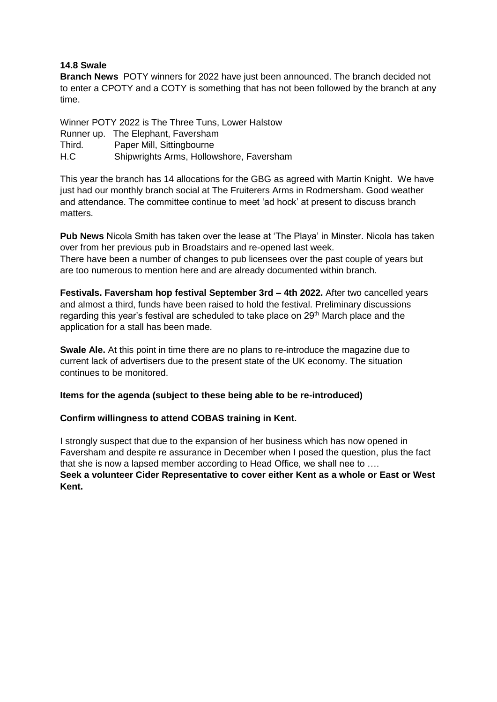## **14.8 Swale**

**Branch News** POTY winners for 2022 have just been announced. The branch decided not to enter a CPOTY and a COTY is something that has not been followed by the branch at any time.

Winner POTY 2022 is The Three Tuns, Lower Halstow Runner up. The Elephant, Faversham Third. Paper Mill, Sittingbourne H.C Shipwrights Arms, Hollowshore, Faversham

This year the branch has 14 allocations for the GBG as agreed with Martin Knight. We have just had our monthly branch social at The Fruiterers Arms in Rodmersham. Good weather and attendance. The committee continue to meet 'ad hock' at present to discuss branch matters.

**Pub News** Nicola Smith has taken over the lease at 'The Playa' in Minster. Nicola has taken over from her previous pub in Broadstairs and re-opened last week. There have been a number of changes to pub licensees over the past couple of years but are too numerous to mention here and are already documented within branch.

**Festivals. Faversham hop festival September 3rd – 4th 2022.** After two cancelled years and almost a third, funds have been raised to hold the festival. Preliminary discussions regarding this year's festival are scheduled to take place on 29<sup>th</sup> March place and the application for a stall has been made.

**Swale Ale.** At this point in time there are no plans to re-introduce the magazine due to current lack of advertisers due to the present state of the UK economy. The situation continues to be monitored.

## **Items for the agenda (subject to these being able to be re-introduced)**

## **Confirm willingness to attend COBAS training in Kent.**

I strongly suspect that due to the expansion of her business which has now opened in Faversham and despite re assurance in December when I posed the question, plus the fact that she is now a lapsed member according to Head Office, we shall nee to …. **Seek a volunteer Cider Representative to cover either Kent as a whole or East or West Kent.**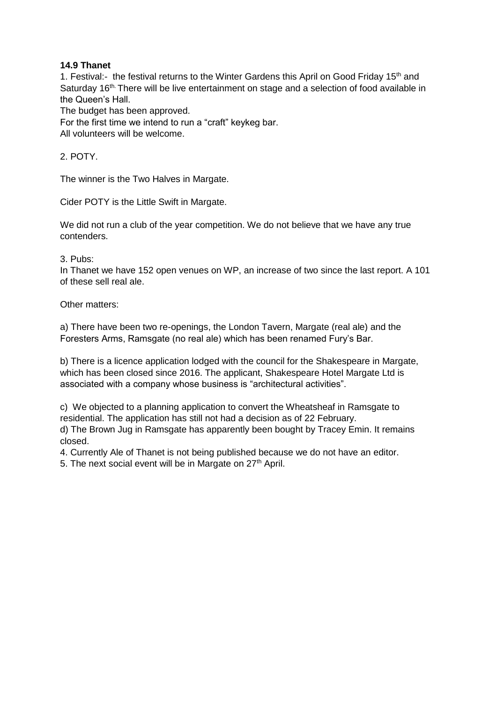# **14.9 Thanet**

1. Festival:- the festival returns to the Winter Gardens this April on Good Friday 15<sup>th</sup> and Saturday 16<sup>th.</sup> There will be live entertainment on stage and a selection of food available in the Queen's Hall.

The budget has been approved.

For the first time we intend to run a "craft" keykeg bar. All volunteers will be welcome.

2. POTY.

The winner is the Two Halves in Margate.

Cider POTY is the Little Swift in Margate.

We did not run a club of the year competition. We do not believe that we have any true contenders.

3. Pubs:

In Thanet we have 152 open venues on WP, an increase of two since the last report. A 101 of these sell real ale.

Other matters:

a) There have been two re-openings, the London Tavern, Margate (real ale) and the Foresters Arms, Ramsgate (no real ale) which has been renamed Fury's Bar.

b) There is a licence application lodged with the council for the Shakespeare in Margate, which has been closed since 2016. The applicant, Shakespeare Hotel Margate Ltd is associated with a company whose business is "architectural activities".

c) We objected to a planning application to convert the Wheatsheaf in Ramsgate to residential. The application has still not had a decision as of 22 February. d) The Brown Jug in Ramsgate has apparently been bought by Tracey Emin. It remains closed.

4. Currently Ale of Thanet is not being published because we do not have an editor.

5. The next social event will be in Margate on  $27<sup>th</sup>$  April.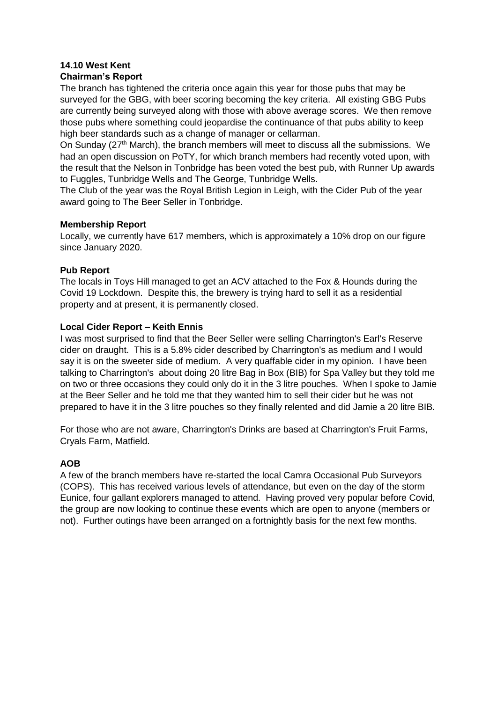# **14.10 West Kent**

# **Chairman's Report**

The branch has tightened the criteria once again this year for those pubs that may be surveyed for the GBG, with beer scoring becoming the key criteria. All existing GBG Pubs are currently being surveyed along with those with above average scores. We then remove those pubs where something could jeopardise the continuance of that pubs ability to keep high beer standards such as a change of manager or cellarman.

On Sunday (27<sup>th</sup> March), the branch members will meet to discuss all the submissions. We had an open discussion on PoTY, for which branch members had recently voted upon, with the result that the Nelson in Tonbridge has been voted the best pub, with Runner Up awards to Fuggles, Tunbridge Wells and The George, Tunbridge Wells.

The Club of the year was the Royal British Legion in Leigh, with the Cider Pub of the year award going to The Beer Seller in Tonbridge.

## **Membership Report**

Locally, we currently have 617 members, which is approximately a 10% drop on our figure since January 2020.

# **Pub Report**

The locals in Toys Hill managed to get an ACV attached to the Fox & Hounds during the Covid 19 Lockdown. Despite this, the brewery is trying hard to sell it as a residential property and at present, it is permanently closed.

# **Local Cider Report – Keith Ennis**

I was most surprised to find that the Beer Seller were selling Charrington's Earl's Reserve cider on draught. This is a 5.8% cider described by Charrington's as medium and I would say it is on the sweeter side of medium. A very quaffable cider in my opinion. I have been talking to Charrington's about doing 20 litre Bag in Box (BIB) for Spa Valley but they told me on two or three occasions they could only do it in the 3 litre pouches. When I spoke to Jamie at the Beer Seller and he told me that they wanted him to sell their cider but he was not prepared to have it in the 3 litre pouches so they finally relented and did Jamie a 20 litre BIB.

For those who are not aware, Charrington's Drinks are based at Charrington's Fruit Farms, Cryals Farm, Matfield.

# **AOB**

A few of the branch members have re-started the local Camra Occasional Pub Surveyors (COPS). This has received various levels of attendance, but even on the day of the storm Eunice, four gallant explorers managed to attend. Having proved very popular before Covid, the group are now looking to continue these events which are open to anyone (members or not). Further outings have been arranged on a fortnightly basis for the next few months.